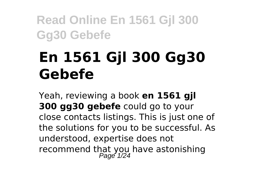# **En 1561 Gjl 300 Gg30 Gebefe**

Yeah, reviewing a book **en 1561 gjl 300 gg30 gebefe** could go to your close contacts listings. This is just one of the solutions for you to be successful. As understood, expertise does not recommend that you have astonishing<br>Page 1/24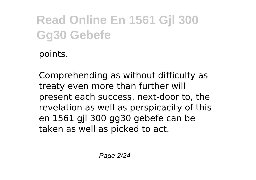points.

Comprehending as without difficulty as treaty even more than further will present each success. next-door to, the revelation as well as perspicacity of this en 1561 gjl 300 gg30 gebefe can be taken as well as picked to act.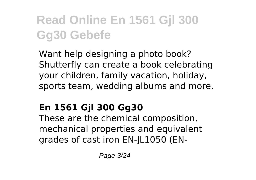Want help designing a photo book? Shutterfly can create a book celebrating your children, family vacation, holiday, sports team, wedding albums and more.

#### **En 1561 Gjl 300 Gg30**

These are the chemical composition, mechanical properties and equivalent grades of cast iron EN-JL1050 (EN-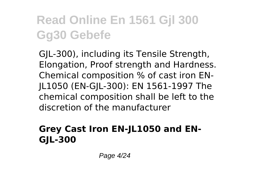GJL-300), including its Tensile Strength, Elongation, Proof strength and Hardness. Chemical composition % of cast iron EN-JL1050 (EN-GJL-300): EN 1561-1997 The chemical composition shall be left to the discretion of the manufacturer

#### **Grey Cast Iron EN-JL1050 and EN-GJL-300**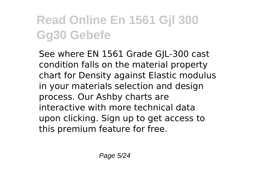See where EN 1561 Grade GJL-300 cast condition falls on the material property chart for Density against Elastic modulus in your materials selection and design process. Our Ashby charts are interactive with more technical data upon clicking. Sign up to get access to this premium feature for free.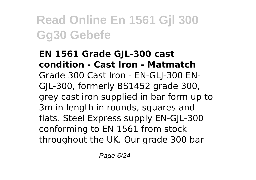#### **EN 1561 Grade GJL-300 cast condition - Cast Iron - Matmatch** Grade 300 Cast Iron - EN-GLJ-300 EN-GJL-300, formerly BS1452 grade 300, grey cast iron supplied in bar form up to 3m in length in rounds, squares and flats. Steel Express supply EN-GJL-300 conforming to EN 1561 from stock throughout the UK. Our grade 300 bar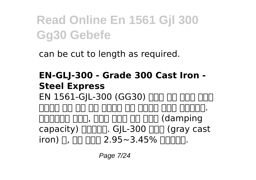can be cut to length as required.

**EN-GLJ-300 - Grade 300 Cast Iron - Steel Express** EN 1561-GIL-300 (GG30) ΠΠΠ ΠΠ ΠΠΠ ΠΠΠ <u>nnnn nn nn nn nnnn nnn nnn nnnnn.</u>  $\Box$  $capacity)$   $\Box$  $\Box$  $\Box$ . GIL-300  $\Box$  $\Box$  (gray cast  $i$ ron)  $\Box$ ,  $\Pi\Pi\Pi\Pi$  2.95~3.45%  $\Pi\Pi\Pi\Pi$ .

Page 7/24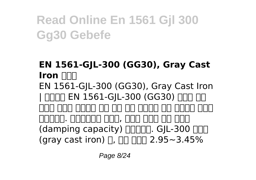#### **EN 1561-GJL-300 (GG30), Gray Cast Iron IIII** EN 1561-GJL-300 (GG30), Gray Cast Iron | NNNN EN 1561-GIL-300 (GG30) NNN NN 군대다 다리다 다리 다리 다리 다디다 다리 다리다 다니다 지대가요. 지지가요이 대한 사람이 대한 감사 보다 (damping capacity) **[100]**. GJL-300 **[100]** (gray cast iron)  $\Box$ ,  $\Pi\Pi\Pi\Pi$  2.95~3.45%

Page 8/24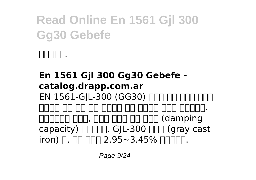

**En 1561 Gjl 300 Gg30 Gebefe catalog.drapp.com.ar** EN 1561-GIL-300 (GG30) ΠΠΠ ΠΠ ΠΠΠ ΠΠΠ 내마모성 응력 제거 풀림 열처리나 다른 열처리가 가능한 재질입니다.  $\Box$ capacity)  $\Box$  GIL-300 nnn (gray cast  $i$ ron)  $\Box$ ,  $\Pi\Pi$   $\Pi\Pi\Pi$  2.95~3.45%  $\Pi\Pi\Pi\Pi\Pi$ .

Page 9/24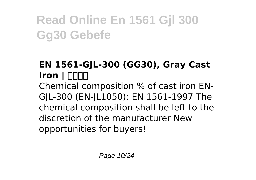#### **EN 1561-GJL-300 (GG30), Gray Cast Iron | NNNN** Chemical composition % of cast iron EN-GJL-300 (EN-JL1050): EN 1561-1997 The chemical composition shall be left to the discretion of the manufacturer New opportunities for buyers!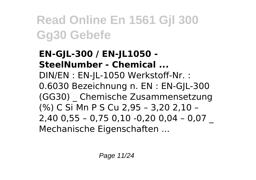#### **EN-GJL-300 / EN-JL1050 - SteelNumber - Chemical ...** DIN/EN : EN-JL-1050 Werkstoff-Nr. : 0.6030 Bezeichnung n. EN : EN-GJL-300 (GG30) \_ Chemische Zusammensetzung (%) C Si Mn P S Cu 2,95 – 3,20 2,10 – 2,40 0,55 – 0,75 0,10 -0,20 0,04 – 0,07 \_ Mechanische Eigenschaften ...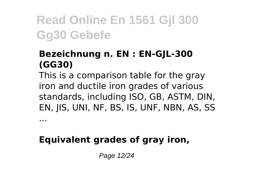#### **Bezeichnung n. EN : EN-GJL-300 (GG30)**

This is a comparison table for the gray iron and ductile iron grades of various standards, including ISO, GB, ASTM, DIN, EN, JIS, UNI, NF, BS, IS, UNF, NBN, AS, SS

**Equivalent grades of gray iron,**

...

Page 12/24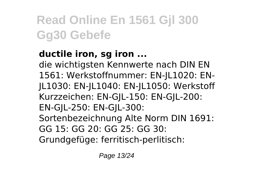#### **ductile iron, sg iron ...**

die wichtigsten Kennwerte nach DIN EN 1561: Werkstoffnummer: EN-JL1020: EN-JL1030: EN-JL1040: EN-JL1050: Werkstoff Kurzzeichen: EN-G|L-150: EN-G|L-200: EN-GJL-250: EN-GJL-300: Sortenbezeichnung Alte Norm DIN 1691: GG 15: GG 20: GG 25: GG 30:

Grundgefüge: ferritisch-perlitisch: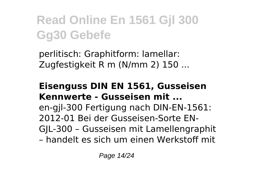perlitisch: Graphitform: lamellar: Zugfestigkeit R m (N/mm 2) 150 ...

#### **Eisenguss DIN EN 1561, Gusseisen Kennwerte - Gusseisen mit ...**

en-gjl-300 Fertigung nach DIN-EN-1561: 2012-01 Bei der Gusseisen-Sorte EN-GJL-300 – Gusseisen mit Lamellengraphit – handelt es sich um einen Werkstoff mit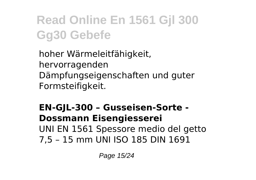hoher Wärmeleitfähigkeit, hervorragenden Dämpfungseigenschaften und guter Formsteifigkeit.

#### **EN-GJL-300 – Gusseisen-Sorte - Dossmann Eisengiesserei** UNI EN 1561 Spessore medio del getto 7,5 – 15 mm UNI ISO 185 DIN 1691

Page 15/24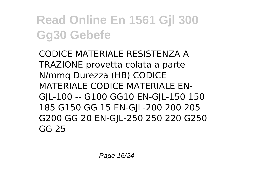CODICE MATERIALE RESISTENZA A TRAZIONE provetta colata a parte N/mmq Durezza (HB) CODICE MATERIALE CODICE MATERIALE EN-GJL-100 -- G100 GG10 EN-GJL-150 150 185 G150 GG 15 EN-GJL-200 200 205 G200 GG 20 EN-GJL-250 250 220 G250 GG 25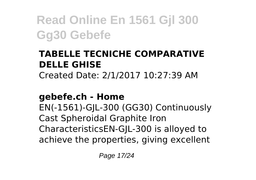#### **TABELLE TECNICHE COMPARATIVE DELLE GHISE**

Created Date: 2/1/2017 10:27:39 AM

#### **gebefe.ch - Home**

EN(-1561)-GJL-300 (GG30) Continuously Cast Spheroidal Graphite Iron CharacteristicsEN-GJL-300 is alloyed to achieve the properties, giving excellent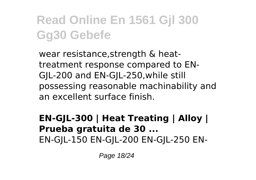wear resistance,strength & heattreatment response compared to EN-GJL-200 and EN-GJL-250,while still possessing reasonable machinability and an excellent surface finish.

#### **EN-GJL-300 | Heat Treating | Alloy | Prueba gratuita de 30 ...** EN-GJL-150 EN-GJL-200 EN-GJL-250 EN-

Page 18/24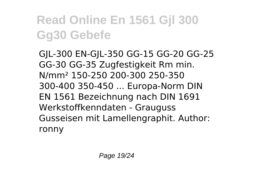GJL-300 EN-GJL-350 GG-15 GG-20 GG-25 GG-30 GG-35 Zugfestigkeit Rm min. N/mm² 150-250 200-300 250-350 300-400 350-450 ... Europa-Norm DIN EN 1561 Bezeichnung nach DIN 1691 Werkstoffkenndaten - Grauguss Gusseisen mit Lamellengraphit. Author: ronny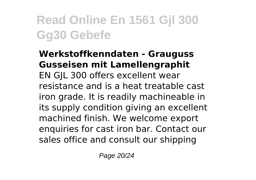#### **Werkstoffkenndaten - Grauguss Gusseisen mit Lamellengraphit** EN GJL 300 offers excellent wear resistance and is a heat treatable cast iron grade. It is readily machineable in its supply condition giving an excellent machined finish. We welcome export enquiries for cast iron bar. Contact our sales office and consult our shipping

Page 20/24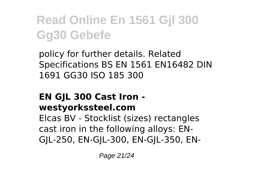policy for further details. Related Specifications BS EN 1561 EN16482 DIN 1691 GG30 ISO 185 300

#### **EN GJL 300 Cast Iron westyorkssteel.com**

Elcas BV - Stocklist (sizes) rectangles cast iron in the following alloys: EN-GJL-250, EN-GJL-300, EN-GJL-350, EN-

Page 21/24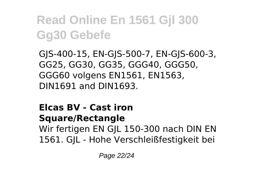GJS-400-15, EN-GJS-500-7, EN-GJS-600-3, GG25, GG30, GG35, GGG40, GGG50, GGG60 volgens EN1561, EN1563, DIN1691 and DIN1693.

#### **Elcas BV - Cast iron**

**Square/Rectangle**

Wir fertigen EN GJL 150-300 nach DIN EN 1561. GJL - Hohe Verschleißfestigkeit bei

Page 22/24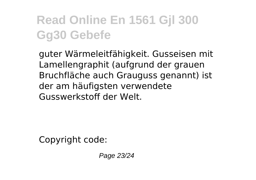guter Wärmeleitfähigkeit. Gusseisen mit Lamellengraphit (aufgrund der grauen Bruchfläche auch Grauguss genannt) ist der am häufigsten verwendete Gusswerkstoff der Welt.

Copyright code:

Page 23/24